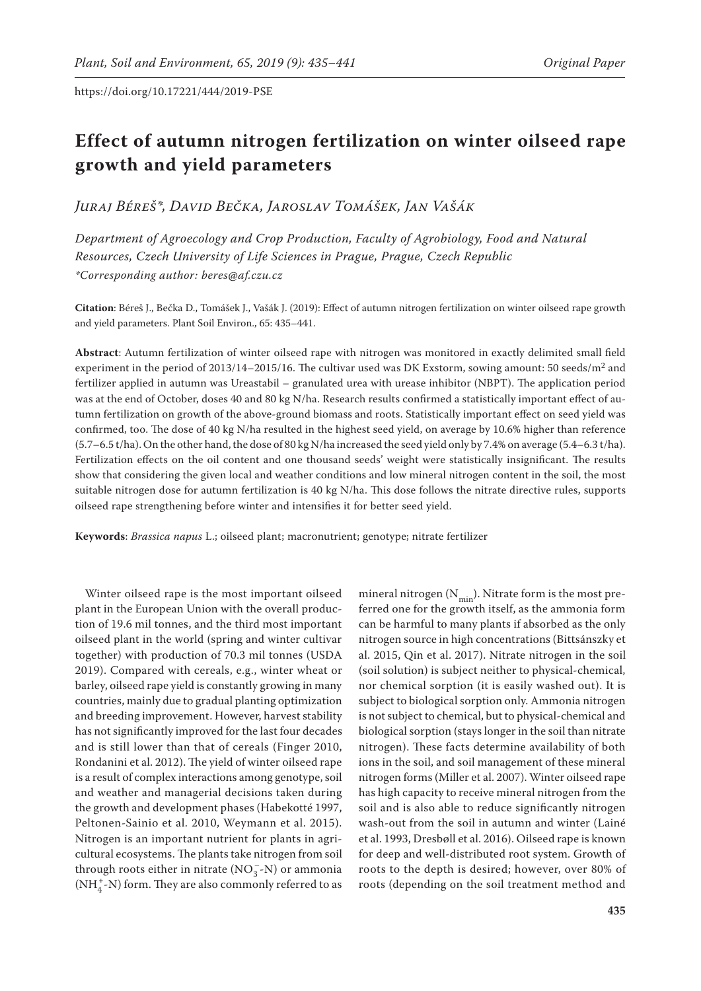# **Effect of autumn nitrogen fertilization on winter oilseed rape growth and yield parameters**

*Juraj Béreš\*, David Bečka, Jaroslav Tomášek, Jan Vašák*

*Department of Agroecology and Crop Production, Faculty of Agrobiology, Food and Natural Resources, Czech University of Life Sciences in Prague, Prague, Czech Republic \*Corresponding author: beres@af.czu.cz*

**Citation**: Béreš J., Bečka D., Tomášek J., Vašák J. (2019): Effect of autumn nitrogen fertilization on winter oilseed rape growth and yield parameters. Plant Soil Environ., 65: 435–441.

**Abstract**: Autumn fertilization of winter oilseed rape with nitrogen was monitored in exactly delimited small field experiment in the period of 2013/14–2015/16. The cultivar used was DK Exstorm, sowing amount: 50 seeds/ $m^2$  and fertilizer applied in autumn was Ureastabil – granulated urea with urease inhibitor (NBPT). The application period was at the end of October, doses 40 and 80 kg N/ha. Research results confirmed a statistically important effect of autumn fertilization on growth of the above-ground biomass and roots. Statistically important effect on seed yield was confirmed, too. The dose of 40 kg N/ha resulted in the highest seed yield, on average by 10.6% higher than reference (5.7–6.5 t/ha). On the other hand, the dose of 80 kg N/ha increased the seed yield only by 7.4% on average (5.4–6.3 t/ha). Fertilization effects on the oil content and one thousand seeds' weight were statistically insignificant. The results show that considering the given local and weather conditions and low mineral nitrogen content in the soil, the most suitable nitrogen dose for autumn fertilization is 40 kg N/ha. This dose follows the nitrate directive rules, supports oilseed rape strengthening before winter and intensifies it for better seed yield.

**Keywords**: *Brassica napus* L.; oilseed plant; macronutrient; genotype; nitrate fertilizer

Winter oilseed rape is the most important oilseed plant in the European Union with the overall production of 19.6 mil tonnes, and the third most important oilseed plant in the world (spring and winter cultivar together) with production of 70.3 mil tonnes (USDA 2019). Compared with cereals, e.g., winter wheat or barley, oilseed rape yield is constantly growing in many countries, mainly due to gradual planting optimization and breeding improvement. However, harvest stability has not significantly improved for the last four decades and is still lower than that of cereals (Finger 2010, Rondanini et al. 2012). The yield of winter oilseed rape is a result of complex interactions among genotype, soil and weather and managerial decisions taken during the growth and development phases (Habekotté 1997, Peltonen-Sainio et al. 2010, Weymann et al. 2015). Nitrogen is an important nutrient for plants in agricultural ecosystems. The plants take nitrogen from soil through roots either in nitrate  $(NO_3^-N)$  or ammonia  $({\rm NH_4^{+}}\mbox{-}{\rm N})$  form. They are also commonly referred to as

mineral nitrogen  $(N_{\text{min}})$ . Nitrate form is the most preferred one for the growth itself, as the ammonia form can be harmful to many plants if absorbed as the only nitrogen source in high concentrations (Bittsánszky et al. 2015, Qin et al. 2017). Nitrate nitrogen in the soil (soil solution) is subject neither to physical-chemical, nor chemical sorption (it is easily washed out). It is subject to biological sorption only. Ammonia nitrogen is not subject to chemical, but to physical-chemical and biological sorption (stays longer in the soil than nitrate nitrogen). These facts determine availability of both ions in the soil, and soil management of these mineral nitrogen forms (Miller et al. 2007). Winter oilseed rape has high capacity to receive mineral nitrogen from the soil and is also able to reduce significantly nitrogen wash-out from the soil in autumn and winter (Lainé et al. 1993, Dresbøll et al. 2016). Oilseed rape is known for deep and well-distributed root system. Growth of roots to the depth is desired; however, over 80% of roots (depending on the soil treatment method and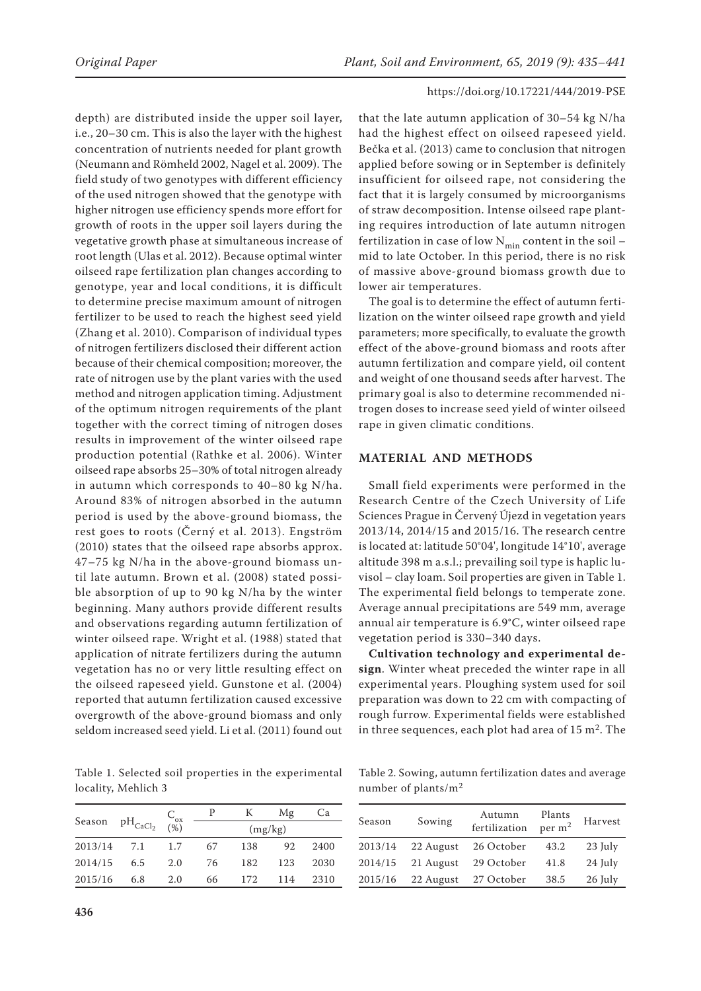depth) are distributed inside the upper soil layer, i.e., 20–30 cm. This is also the layer with the highest concentration of nutrients needed for plant growth (Neumann and Römheld 2002, Nagel et al. 2009). The field study of two genotypes with different efficiency of the used nitrogen showed that the genotype with higher nitrogen use efficiency spends more effort for growth of roots in the upper soil layers during the vegetative growth phase at simultaneous increase of root length (Ulas et al. 2012). Because optimal winter oilseed rape fertilization plan changes according to genotype, year and local conditions, it is difficult to determine precise maximum amount of nitrogen fertilizer to be used to reach the highest seed yield (Zhang et al. 2010). Comparison of individual types of nitrogen fertilizers disclosed their different action because of their chemical composition; moreover, the rate of nitrogen use by the plant varies with the used method and nitrogen application timing. Adjustment of the optimum nitrogen requirements of the plant together with the correct timing of nitrogen doses results in improvement of the winter oilseed rape production potential (Rathke et al. 2006). Winter oilseed rape absorbs 25–30% of total nitrogen already in autumn which corresponds to 40–80 kg N/ha. Around 83% of nitrogen absorbed in the autumn period is used by the above-ground biomass, the rest goes to roots (Černý et al. 2013). Engström (2010) states that the oilseed rape absorbs approx. 47–75 kg N/ha in the above-ground biomass until late autumn. Brown et al. (2008) stated possible absorption of up to 90 kg N/ha by the winter beginning. Many authors provide different results and observations regarding autumn fertilization of winter oilseed rape. Wright et al. (1988) stated that application of nitrate fertilizers during the autumn vegetation has no or very little resulting effect on the oilseed rapeseed yield. Gunstone et al. (2004) reported that autumn fertilization caused excessive overgrowth of the above-ground biomass and only seldom increased seed yield. Li et al. (2011) found out

Table 1. Selected soil properties in the experimental locality, Mehlich 3

| Season $\mathrm{pH}_{\mathrm{CaCl}_2}$ |     |                 |         | K   | Μg  | Ca   |  |  |  |  |  |
|----------------------------------------|-----|-----------------|---------|-----|-----|------|--|--|--|--|--|
|                                        |     | $C_{ox}$<br>(%) | (mg/kg) |     |     |      |  |  |  |  |  |
| 2013/14                                | 7.1 | 1.7             | 67      | 138 | 92  | 2400 |  |  |  |  |  |
| 2014/15                                | 6.5 | 2.0             | 76      | 182 | 123 | 2030 |  |  |  |  |  |
| 2015/16                                | 6.8 | 2.0             | 66      | 172 | 114 | 2310 |  |  |  |  |  |

that the late autumn application of 30–54 kg N/ha had the highest effect on oilseed rapeseed yield. Bečka et al. (2013) came to conclusion that nitrogen applied before sowing or in September is definitely insufficient for oilseed rape, not considering the fact that it is largely consumed by microorganisms of straw decomposition. Intense oilseed rape planting requires introduction of late autumn nitrogen fertilization in case of low  $N_{\text{min}}$  content in the soil – mid to late October. In this period, there is no risk of massive above-ground biomass growth due to lower air temperatures.

The goal is to determine the effect of autumn fertilization on the winter oilseed rape growth and yield parameters; more specifically, to evaluate the growth effect of the above-ground biomass and roots after autumn fertilization and compare yield, oil content and weight of one thousand seeds after harvest. The primary goal is also to determine recommended nitrogen doses to increase seed yield of winter oilseed rape in given climatic conditions.

#### **MATERIAL AND METHODS**

Small field experiments were performed in the Research Centre of the Czech University of Life Sciences Prague in Červený Újezd in vegetation years 2013/14, 2014/15 and 2015/16. The research centre is located at: latitude 50°04', longitude 14°10', average altitude 398 m a.s.l.; prevailing soil type is haplic luvisol – clay loam. Soil properties are given in Table 1. The experimental field belongs to temperate zone. Average annual precipitations are 549 mm, average annual air temperature is 6.9°C, winter oilseed rape vegetation period is 330–340 days.

**Cultivation technology and experimental design**. Winter wheat preceded the winter rape in all experimental years. Ploughing system used for soil preparation was down to 22 cm with compacting of rough furrow. Experimental fields were established in three sequences, each plot had area of  $15 \text{ m}^2$ . The

Table 2. Sowing, autumn fertilization dates and average number of plants/m<sup>2</sup>

| Season  | Sowing    | Autumn<br>fertilization | Plants<br>per m <sup>2</sup> | Harvest |
|---------|-----------|-------------------------|------------------------------|---------|
| 2013/14 | 22 August | 26 October              | 43.2                         | 23 July |
| 2014/15 | 21 August | 29 October              | 41.8                         | 24 July |
| 2015/16 | 22 August | 27 October              | 38.5                         | 26 July |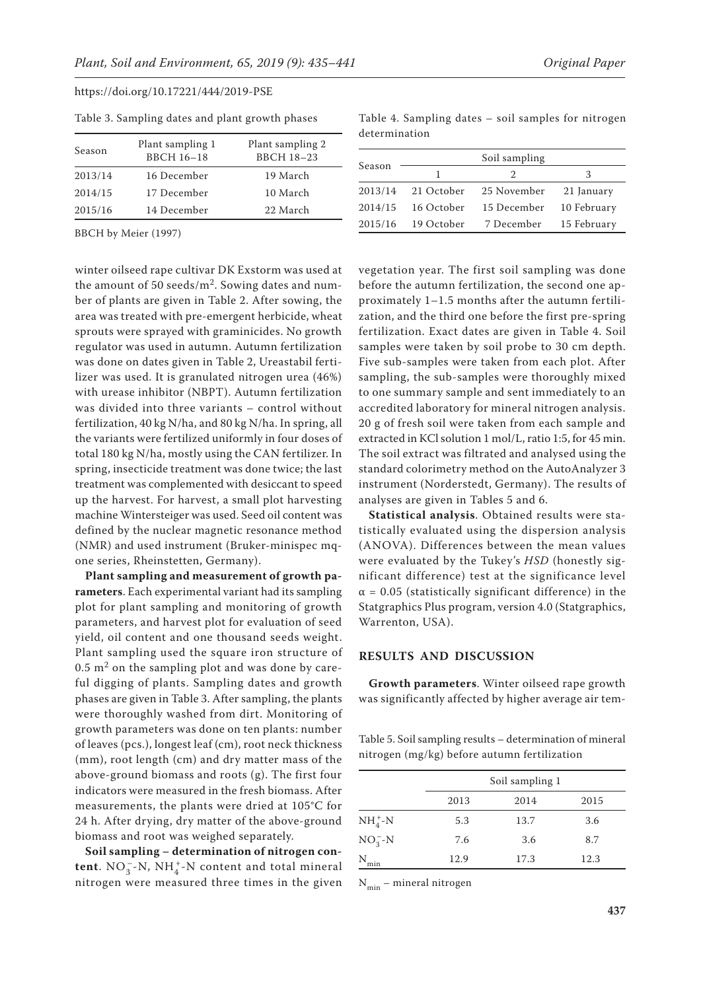| Season  | Plant sampling 1<br><b>BBCH 16-18</b> | Plant sampling 2<br><b>BBCH 18-23</b> |
|---------|---------------------------------------|---------------------------------------|
| 2013/14 | 16 December                           | 19 March                              |
| 2014/15 | 17 December                           | 10 March                              |
| 2015/16 | 14 December                           | 22 March                              |

Table 3. Sampling dates and plant growth phases

BBCH by Meier (1997)

winter oilseed rape cultivar DK Exstorm was used at the amount of 50 seeds/ $m^2$ . Sowing dates and number of plants are given in Table 2. After sowing, the area was treated with pre-emergent herbicide, wheat sprouts were sprayed with graminicides. No growth regulator was used in autumn. Autumn fertilization was done on dates given in Table 2, Ureastabil fertilizer was used. It is granulated nitrogen urea (46%) with urease inhibitor (NBPT). Autumn fertilization was divided into three variants – control without fertilization, 40 kg N/ha, and 80 kg N/ha. In spring, all the variants were fertilized uniformly in four doses of total 180 kg N/ha, mostly using the CAN fertilizer. In spring, insecticide treatment was done twice; the last treatment was complemented with desiccant to speed up the harvest. For harvest, a small plot harvesting machine Wintersteiger was used. Seed oil content was defined by the nuclear magnetic resonance method (NMR) and used instrument (Bruker-minispec mqone series, Rheinstetten, Germany).

**Plant sampling and measurement of growth parameters**. Each experimental variant had its sampling plot for plant sampling and monitoring of growth parameters, and harvest plot for evaluation of seed yield, oil content and one thousand seeds weight. Plant sampling used the square iron structure of  $0.5$  m<sup>2</sup> on the sampling plot and was done by careful digging of plants. Sampling dates and growth phases are given in Table 3. After sampling, the plants were thoroughly washed from dirt. Monitoring of growth parameters was done on ten plants: number of leaves (pcs.), longest leaf (cm), root neck thickness (mm), root length (cm) and dry matter mass of the above-ground biomass and roots (g). The first four indicators were measured in the fresh biomass. After measurements, the plants were dried at 105°C for 24 h. After drying, dry matter of the above-ground biomass and root was weighed separately.

**Soil sampling – determination of nitrogen content**.  $NO_3^-$ -N,  $NH_4^+$ -N content and total mineral nitrogen were measured three times in the given

Table 4. Sampling dates – soil samples for nitrogen determination

| Season  | Soil sampling |             |             |  |  |  |  |  |  |
|---------|---------------|-------------|-------------|--|--|--|--|--|--|
|         |               | 2           | 3           |  |  |  |  |  |  |
| 2013/14 | 21 October    | 25 November | 21 January  |  |  |  |  |  |  |
| 2014/15 | 16 October    | 15 December | 10 February |  |  |  |  |  |  |
| 2015/16 | 19 October    | 7 December  | 15 February |  |  |  |  |  |  |
|         |               |             |             |  |  |  |  |  |  |

vegetation year. The first soil sampling was done before the autumn fertilization, the second one approximately 1–1.5 months after the autumn fertilization, and the third one before the first pre-spring fertilization. Exact dates are given in Table 4. Soil samples were taken by soil probe to 30 cm depth. Five sub-samples were taken from each plot. After sampling, the sub-samples were thoroughly mixed to one summary sample and sent immediately to an accredited laboratory for mineral nitrogen analysis. 20 g of fresh soil were taken from each sample and extracted in KCl solution 1 mol/L, ratio 1:5, for 45 min. The soil extract was filtrated and analysed using the standard colorimetry method on the AutoAnalyzer 3 instrument (Norderstedt, Germany). The results of analyses are given in Tables 5 and 6.

**Statistical analysis**. Obtained results were statistically evaluated using the dispersion analysis (ANOVA). Differences between the mean values were evaluated by the Tukey's *HSD* (honestly significant difference) test at the significance level  $\alpha$  = 0.05 (statistically significant difference) in the Statgraphics Plus program, version 4.0 (Statgraphics, Warrenton, USA).

### **RESULTS AND DISCUSSION**

**Growth parameters**. Winter oilseed rape growth was significantly affected by higher average air tem-

Table 5. Soil sampling results – determination of mineral nitrogen (mg/kg) before autumn fertilization

|             |      | Soil sampling 1 |      |
|-------------|------|-----------------|------|
|             | 2013 | 2014            | 2015 |
| $NH_4^+$ -N | 5.3  | 13.7            | 3.6  |
| $NO_3^-N$   | 7.6  | 3.6             | 8.7  |
| Ν<br>min    | 12.9 | 17.3            | 12.3 |

 $N_{\min}$  – mineral nitrogen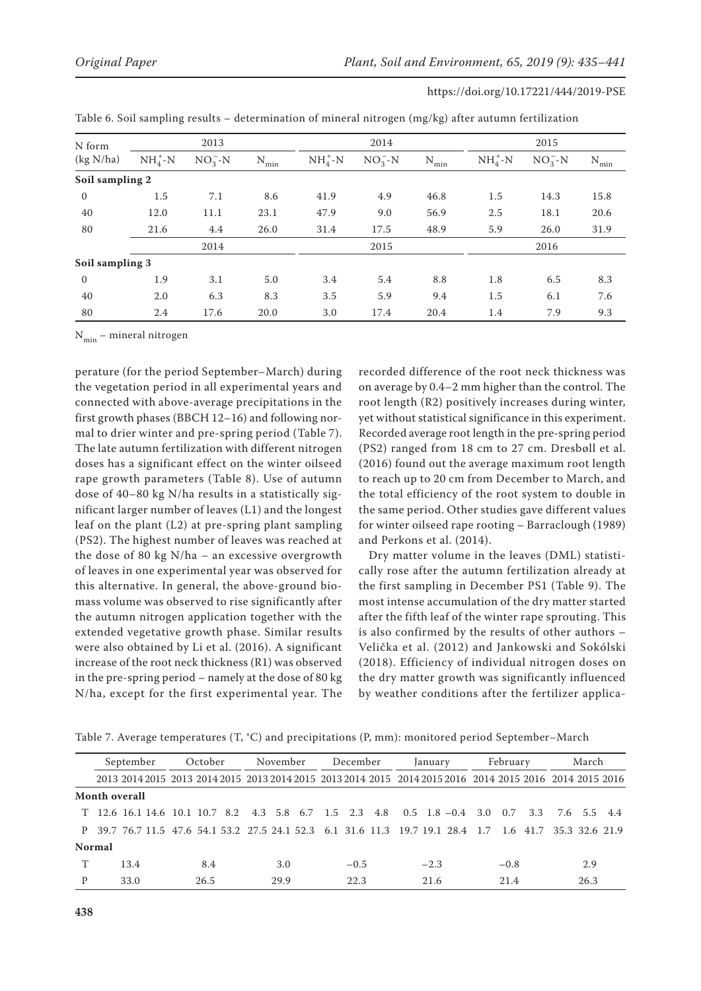| N form          |          | 2013      |          |          | 2014      |           | 2015     |           |           |
|-----------------|----------|-----------|----------|----------|-----------|-----------|----------|-----------|-----------|
| (kg N/ha)       | $NH4+-N$ | $NO_2^-N$ | N<br>min | $NH4+-N$ | $NO_3^-N$ | N<br>'min | $NH4+-N$ | $NO_3^-N$ | $N_{min}$ |
| Soil sampling 2 |          |           |          |          |           |           |          |           |           |
| $\overline{0}$  | 1.5      | 7.1       | 8.6      | 41.9     | 4.9       | 46.8      | 1.5      | 14.3      | 15.8      |
| 40              | 12.0     | 11.1      | 23.1     | 47.9     | 9.0       | 56.9      | 2.5      | 18.1      | 20.6      |
| 80              | 21.6     | 4.4       | 26.0     | 31.4     | 17.5      | 48.9      | 5.9      | 26.0      | 31.9      |
|                 |          | 2014      |          |          | 2015      |           |          | 2016      |           |
| Soil sampling 3 |          |           |          |          |           |           |          |           |           |
| $\overline{0}$  | 1.9      | 3.1       | 5.0      | 3.4      | 5.4       | 8.8       | 1.8      | 6.5       | 8.3       |
| 40              | 2.0      | 6.3       | 8.3      | 3.5      | 5.9       | 9.4       | 1.5      | 6.1       | 7.6       |
| 80              | 2.4      | 17.6      | 20.0     | 3.0      | 17.4      | 20.4      | 1.4      | 7.9       | 9.3       |

 $N_{min}$  – mineral nitrogen

perature (for the period September–March) during the vegetation period in all experimental years and connected with above-average precipitations in the first growth phases (BBCH 12–16) and following normal to drier winter and pre-spring period (Table 7). The late autumn fertilization with different nitrogen doses has a significant effect on the winter oilseed rape growth parameters (Table 8). Use of autumn dose of 40–80 kg N/ha results in a statistically significant larger number of leaves (L1) and the longest leaf on the plant (L2) at pre-spring plant sampling (PS2). The highest number of leaves was reached at the dose of 80 kg N/ha – an excessive overgrowth of leaves in one experimental year was observed for this alternative. In general, the above-ground biomass volume was observed to rise significantly after the autumn nitrogen application together with the extended vegetative growth phase. Similar results were also obtained by Li et al. (2016). A significant increase of the root neck thickness (R1) was observed in the pre-spring period – namely at the dose of 80 kg N/ha, except for the first experimental year. The recorded difference of the root neck thickness was on average by 0.4–2 mm higher than the control. The root length (R2) positively increases during winter, yet without statistical significance in this experiment. Recorded average root length in the pre-spring period (PS2) ranged from 18 cm to 27 cm. Dresbøll et al. (2016) found out the average maximum root length to reach up to 20 cm from December to March, and the total efficiency of the root system to double in the same period. Other studies gave different values for winter oilseed rape rooting – Barraclough (1989) and Perkons et al. (2014).

Dry matter volume in the leaves (DML) statistically rose after the autumn fertilization already at the first sampling in December PS1 (Table 9). The most intense accumulation of the dry matter started after the fifth leaf of the winter rape sprouting. This is also confirmed by the results of other authors – Velička et al. (2012) and Jankowski and Sokólski (2018). Efficiency of individual nitrogen doses on the dry matter growth was significantly influenced by weather conditions after the fertilizer applica-

Table 7. Average temperatures (T, °C) and precipitations (P, mm): monitored period September–March

| October<br>September                                                                                     |  |      | November |      | December |        | January | February |  |        | March |  |      |  |
|----------------------------------------------------------------------------------------------------------|--|------|----------|------|----------|--------|---------|----------|--|--------|-------|--|------|--|
| 2013 2014 2015 2013 2014 2015 2013 2014 2015 2013 2014 2015 2014 2015 2016 2014 2015 2016 2014 2015 2016 |  |      |          |      |          |        |         |          |  |        |       |  |      |  |
| Month overall                                                                                            |  |      |          |      |          |        |         |          |  |        |       |  |      |  |
| T 12.6 16.1 14.6 10.1 10.7 8.2 4.3 5.8 6.7 1.5 2.3 4.8 0.5 1.8 -0.4 3.0 0.7 3.3 7.6 5.5 4.4              |  |      |          |      |          |        |         |          |  |        |       |  |      |  |
| P 39.7 76.7 11.5 47.6 54.1 53.2 27.5 24.1 52.3 6.1 31.6 11.3 19.7 19.1 28.4 1.7 1.6 41.7 35.3 32.6 21.9  |  |      |          |      |          |        |         |          |  |        |       |  |      |  |
| <b>Normal</b>                                                                                            |  |      |          |      |          |        |         |          |  |        |       |  |      |  |
| 13.4                                                                                                     |  | 8.4  |          | 3.0  |          | $-0.5$ |         | $-2.3$   |  | $-0.8$ |       |  | 2.9  |  |
| 33.0                                                                                                     |  | 26.5 |          | 29.9 |          | 22.3   |         | 21.6     |  | 21.4   |       |  | 26.3 |  |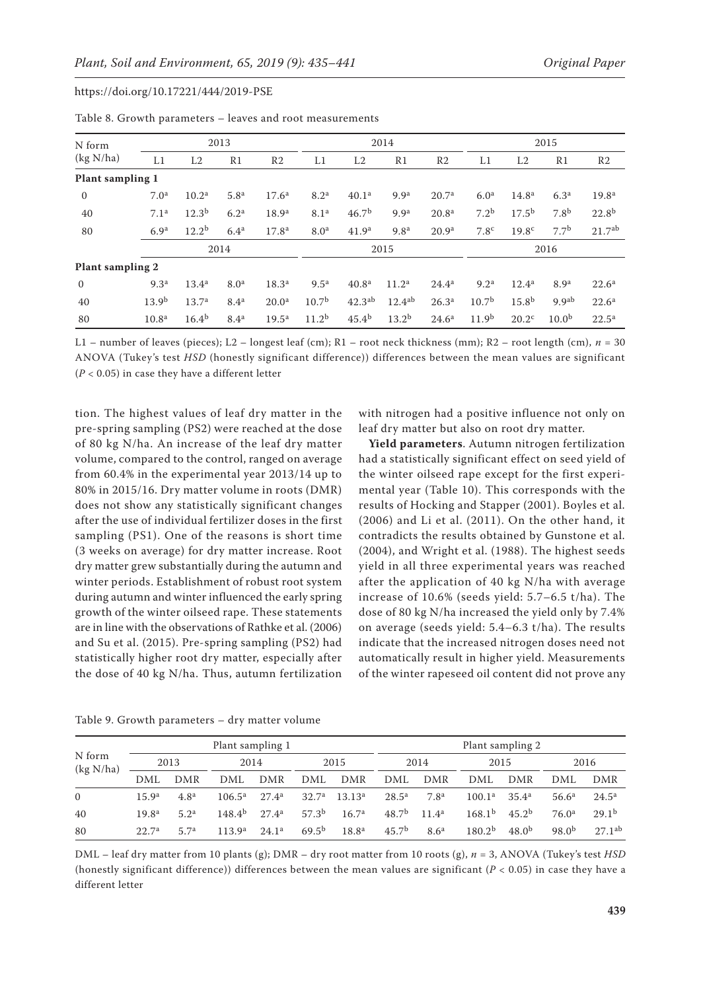| N form                  |                   |                   | 2013             |                   |                   | 2014               |                   |                   |                   | 2015              |                   |                    |  |
|-------------------------|-------------------|-------------------|------------------|-------------------|-------------------|--------------------|-------------------|-------------------|-------------------|-------------------|-------------------|--------------------|--|
| (kg N/ha)               | L1                | L2                | R <sub>1</sub>   | R <sub>2</sub>    | L1                | L2                 | R1                | R <sub>2</sub>    | L1                | L2                | R <sub>1</sub>    | R <sub>2</sub>     |  |
| Plant sampling 1        |                   |                   |                  |                   |                   |                    |                   |                   |                   |                   |                   |                    |  |
| $\mathbf{0}$            | 7.0 <sup>a</sup>  | 10.2 <sup>a</sup> | 5.8 <sup>a</sup> | 17.6 <sup>a</sup> | 8.2 <sup>a</sup>  | 40.1 <sup>a</sup>  | 9.9 <sup>a</sup>  | 20.7 <sup>a</sup> | 6.0 <sup>a</sup>  | 14.8 <sup>a</sup> | 6.3 <sup>a</sup>  | 19.8 <sup>a</sup>  |  |
| 40                      | 7.1 <sup>a</sup>  | $12.3^{b}$        | 6.2 <sup>a</sup> | 18.9 <sup>a</sup> | 8.1 <sup>a</sup>  | 46.7 <sup>b</sup>  | 9.9 <sup>a</sup>  | 20.8 <sup>a</sup> | 7.2 <sup>b</sup>  | $17.5^{b}$        | 7.8 <sup>b</sup>  | $22.8^{b}$         |  |
| 80                      | 6.9 <sup>a</sup>  | $12.2^{b}$        | 6.4 <sup>a</sup> | 17.8 <sup>a</sup> | 8.0 <sup>a</sup>  | 41.9 <sup>a</sup>  | 9.8 <sup>a</sup>  | 20.9 <sup>a</sup> | 7.8 <sup>c</sup>  | 19.8 <sup>c</sup> | 7.7 <sup>b</sup>  | 21.7 <sup>ab</sup> |  |
|                         |                   |                   | 2014             |                   |                   | 2015               |                   |                   |                   | 2016              |                   |                    |  |
| <b>Plant sampling 2</b> |                   |                   |                  |                   |                   |                    |                   |                   |                   |                   |                   |                    |  |
| $\mathbf{0}$            | 9.3 <sup>a</sup>  | 13.4 <sup>a</sup> | 8.0 <sup>a</sup> | 18.3 <sup>a</sup> | 9.5 <sup>a</sup>  | 40.8 <sup>a</sup>  | 11.2 <sup>a</sup> | $24.4^{\rm a}$    | 9.2 <sup>a</sup>  | $12.4^a$          | 8.9 <sup>a</sup>  | $22.6^{\rm a}$     |  |
| 40                      | 13.9 <sup>b</sup> | 13.7 <sup>a</sup> | 8.4 <sup>a</sup> | 20.0 <sup>a</sup> | 10.7 <sup>b</sup> | 42.3 <sup>ab</sup> | $12.4^{ab}$       | 26.3 <sup>a</sup> | 10.7 <sup>b</sup> | 15.8 <sup>b</sup> | 9.9 <sup>ab</sup> | $22.6^{\rm a}$     |  |
| 80                      | 10.8 <sup>a</sup> | $16.4^{b}$        | 8.4 <sup>a</sup> | $19.5^{\rm a}$    | 11.2 <sup>b</sup> | 45.4 <sup>b</sup>  | $13.2^{b}$        | $24.6^{\rm a}$    | 11.9 <sup>b</sup> | 20.2 <sup>c</sup> | 10.0 <sup>b</sup> | $22.5^{\rm a}$     |  |

Table 8. Growth parameters – leaves and root measurements

L1 – number of leaves (pieces); L2 – longest leaf (cm); R1 – root neck thickness (mm); R2 – root length (cm), *n* = 30 ANOVA (Tukey's test *HSD* (honestly significant difference)) differences between the mean values are significant (*P* < 0.05) in case they have a different letter

tion. The highest values of leaf dry matter in the pre-spring sampling (PS2) were reached at the dose of 80 kg N/ha. An increase of the leaf dry matter volume, compared to the control, ranged on average from 60.4% in the experimental year 2013/14 up to 80% in 2015/16. Dry matter volume in roots (DMR) does not show any statistically significant changes after the use of individual fertilizer doses in the first sampling (PS1). One of the reasons is short time (3 weeks on average) for dry matter increase. Root dry matter grew substantially during the autumn and winter periods. Establishment of robust root system during autumn and winter influenced the early spring growth of the winter oilseed rape. These statements are in line with the observations of Rathke et al. (2006) and Su et al. (2015). Pre-spring sampling (PS2) had statistically higher root dry matter, especially after the dose of 40 kg N/ha. Thus, autumn fertilization

with nitrogen had a positive influence not only on leaf dry matter but also on root dry matter.

**Yield parameters**. Autumn nitrogen fertilization had a statistically significant effect on seed yield of the winter oilseed rape except for the first experimental year (Table 10). This corresponds with the results of Hocking and Stapper (2001). Boyles et al. (2006) and Li et al. (2011). On the other hand, it contradicts the results obtained by Gunstone et al. (2004), and Wright et al. (1988). The highest seeds yield in all three experimental years was reached after the application of 40 kg N/ha with average increase of 10.6% (seeds yield: 5.7–6.5 t/ha). The dose of 80 kg N/ha increased the yield only by 7.4% on average (seeds yield: 5.4–6.3 t/ha). The results indicate that the increased nitrogen doses need not automatically result in higher yield. Measurements of the winter rapeseed oil content did not prove any

| N form<br>(kg N/ha) |                   |                  | Plant sampling 1   |                   |                   |                    | Plant sampling 2  |                   |                    |                   |                   |                   |  |
|---------------------|-------------------|------------------|--------------------|-------------------|-------------------|--------------------|-------------------|-------------------|--------------------|-------------------|-------------------|-------------------|--|
|                     | 2013              |                  |                    | 2014              |                   | 2015               |                   | 2014              |                    | 2015              |                   | 2016              |  |
|                     | DML               | DMR              | DML                | DMR               | DML               | DMR                | DML               | DMR               | DML                | DMR               | DML               | DMR               |  |
| $\Omega$            | 15.9 <sup>a</sup> | 4.8 <sup>a</sup> | $106.5^{\rm a}$    | 27.4 <sup>a</sup> | 32.7 <sup>a</sup> | 13.13 <sup>a</sup> | $28.5^{\rm a}$    | 7.8 <sup>a</sup>  | $100.1^{\rm a}$    | 35.4 <sup>a</sup> | $56.6^{\rm a}$    | $24.5^{\rm a}$    |  |
| 40                  | 19.8 <sup>a</sup> | 5.2 <sup>a</sup> | 148.4 <sup>b</sup> | $27.4^{\rm a}$    | 57.3 <sup>b</sup> | 16.7 <sup>a</sup>  | 48.7 <sup>b</sup> | 11.4 <sup>a</sup> | 168.1 <sup>b</sup> | 45.2 <sup>b</sup> | 76.0 <sup>a</sup> | 29.1 <sup>b</sup> |  |
| 80                  | 22.7 <sup>a</sup> | 5.7 <sup>a</sup> | 113.9 <sup>a</sup> | 24.1 <sup>a</sup> | $69.5^{b}$        | 18.8 <sup>a</sup>  | 45.7 <sup>b</sup> | 8.6 <sup>a</sup>  | 180.2 <sup>b</sup> | $48.0^{b}$        | $98.0^{b}$        | $27.1^{ab}$       |  |

Table 9. Growth parameters – dry matter volume

DML – leaf dry matter from 10 plants (g); DMR – dry root matter from 10 roots (g), *n* = 3, ANOVA (Tukey's test *HSD* (honestly significant difference)) differences between the mean values are significant  $(P < 0.05)$  in case they have a different letter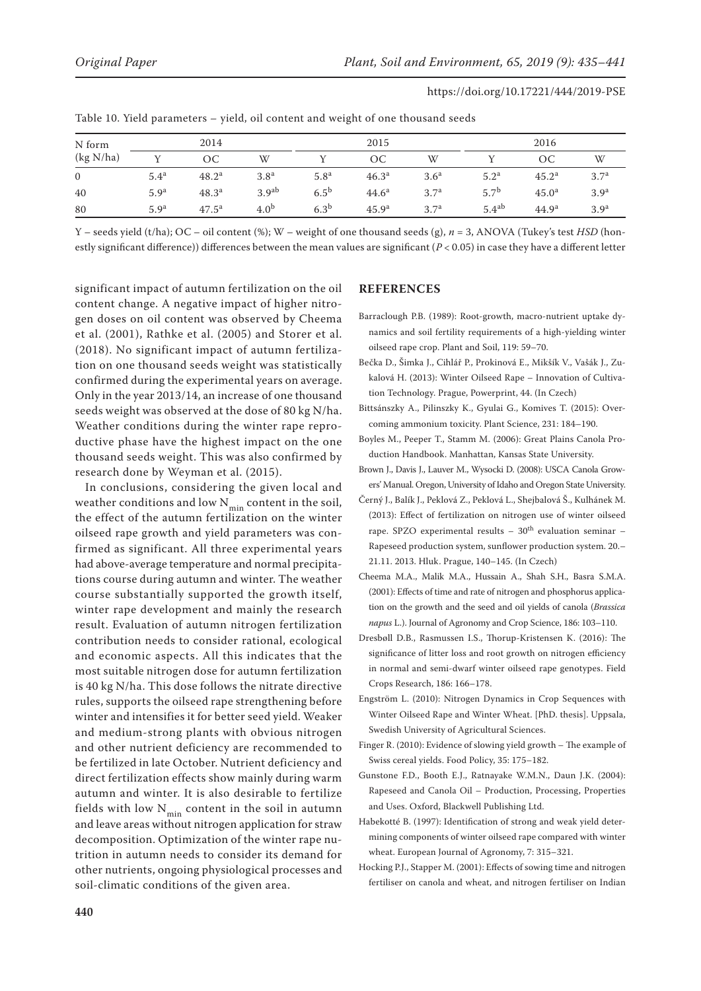| N form         |                  | 2014              |                   |                  | 2015              |                  |                   | 2016              |                  |  |
|----------------|------------------|-------------------|-------------------|------------------|-------------------|------------------|-------------------|-------------------|------------------|--|
| (kg N/ha)      |                  | ОC                | W                 |                  | ОC                | W                |                   | OC                | W                |  |
| $\overline{0}$ | 5.4 <sup>a</sup> | $48.2^{\rm a}$    | 3.8 <sup>a</sup>  | 5.8 <sup>a</sup> | 46.3 <sup>a</sup> | 3.6 <sup>a</sup> | 5.2 <sup>a</sup>  | 45.2 <sup>a</sup> | 3.7 <sup>a</sup> |  |
| 40             | 5.9 <sup>a</sup> | 48.3 <sup>a</sup> | 3.9 <sup>ab</sup> | $6.5^{\rm b}$    | $44.6^{\rm a}$    | 3.7 <sup>a</sup> | 5.7 <sup>b</sup>  | 45.0 <sup>a</sup> | 3.9 <sup>a</sup> |  |
| 80             | 5.9 <sup>a</sup> | $47.5^{\rm a}$    | 4.0 <sup>b</sup>  | 6.3 <sup>b</sup> | 45.9 <sup>a</sup> | 3.7 <sup>a</sup> | 5.4 <sup>ab</sup> | 44.9 <sup>a</sup> | 3.9 <sup>a</sup> |  |

Table 10. Yield parameters – yield, oil content and weight of one thousand seeds

Y – seeds yield (t/ha); OC – oil content (%); W – weight of one thousand seeds (g), *n* = 3, ANOVA (Tukey's test *HSD* (honestly significant difference)) differences between the mean values are significant (*P* < 0.05) in case they have a different letter

significant impact of autumn fertilization on the oil content change. A negative impact of higher nitrogen doses on oil content was observed by Cheema et al. (2001), Rathke et al. (2005) and Storer et al. (2018). No significant impact of autumn fertilization on one thousand seeds weight was statistically confirmed during the experimental years on average. Only in the year 2013/14, an increase of one thousand seeds weight was observed at the dose of 80 kg N/ha. Weather conditions during the winter rape reproductive phase have the highest impact on the one thousand seeds weight. This was also confirmed by research done by Weyman et al. (2015).

In conclusions, considering the given local and weather conditions and low  $N_{min}$  content in the soil, the effect of the autumn fertilization on the winter oilseed rape growth and yield parameters was confirmed as significant. All three experimental years had above-average temperature and normal precipitations course during autumn and winter. The weather course substantially supported the growth itself, winter rape development and mainly the research result. Evaluation of autumn nitrogen fertilization contribution needs to consider rational, ecological and economic aspects. All this indicates that the most suitable nitrogen dose for autumn fertilization is 40 kg N/ha. This dose follows the nitrate directive rules, supports the oilseed rape strengthening before winter and intensifies it for better seed yield. Weaker and medium-strong plants with obvious nitrogen and other nutrient deficiency are recommended to be fertilized in late October. Nutrient deficiency and direct fertilization effects show mainly during warm autumn and winter. It is also desirable to fertilize fields with low  $N_{\min}$  content in the soil in autumn and leave areas without nitrogen application for straw decomposition. Optimization of the winter rape nutrition in autumn needs to consider its demand for other nutrients, ongoing physiological processes and soil-climatic conditions of the given area.

## **REFERENCES**

- Barraclough P.B. (1989): Root-growth, macro-nutrient uptake dynamics and soil fertility requirements of a high-yielding winter oilseed rape crop. Plant and Soil, 119: 59–70.
- Bečka D., Šimka J., Cihlář P., Prokinová E., Mikšík V., Vašák J., Zukalová H. (2013): Winter Oilseed Rape – Innovation of Cultivation Technology. Prague, Powerprint, 44. (In Czech)
- Bittsánszky A., Pilinszky K., Gyulai G., Komives T. (2015): Overcoming ammonium toxicity. Plant Science, 231: 184–190.
- Boyles M., Peeper T., Stamm M. (2006): Great Plains Canola Production Handbook. Manhattan, Kansas State University.
- Brown J., Davis J., Lauver M., Wysocki D. (2008): USCA Canola Growers' Manual. Oregon, University of Idaho and Oregon State University.
- Černý J., Balík J., Peklová Z., Peklová L., Shejbalová Š., Kulhánek M. (2013): Effect of fertilization on nitrogen use of winter oilseed rape. SPZO experimental results  $-30^{th}$  evaluation seminar  $-$ Rapeseed production system, sunflower production system. 20.– 21.11. 2013. Hluk. Prague, 140–145. (In Czech)
- Cheema M.A., Malik M.A., Hussain A., Shah S.H., Basra S.M.A. (2001): Effects of time and rate of nitrogen and phosphorus application on the growth and the seed and oil yields of canola (*Brassica napus* L.). Journal of Agronomy and Crop Science, 186: 103–110.
- Dresbøll D.B., Rasmussen I.S., Thorup-Kristensen K. (2016): The significance of litter loss and root growth on nitrogen efficiency in normal and semi-dwarf winter oilseed rape genotypes. Field Crops Research, 186: 166–178.
- Engström L. (2010): Nitrogen Dynamics in Crop Sequences with Winter Oilseed Rape and Winter Wheat. [PhD. thesis]. Uppsala, Swedish University of Agricultural Sciences.
- Finger R. (2010): Evidence of slowing yield growth The example of Swiss cereal yields. Food Policy, 35: 175–182.
- Gunstone F.D., Booth E.J., Ratnayake W.M.N., Daun J.K. (2004): Rapeseed and Canola Oil – Production, Processing, Properties and Uses. Oxford, Blackwell Publishing Ltd.
- Habekotté B. (1997): Identification of strong and weak yield determining components of winter oilseed rape compared with winter wheat. European Journal of Agronomy, 7: 315–321.
- Hocking P.J., Stapper M. (2001): Effects of sowing time and nitrogen fertiliser on canola and wheat, and nitrogen fertiliser on Indian